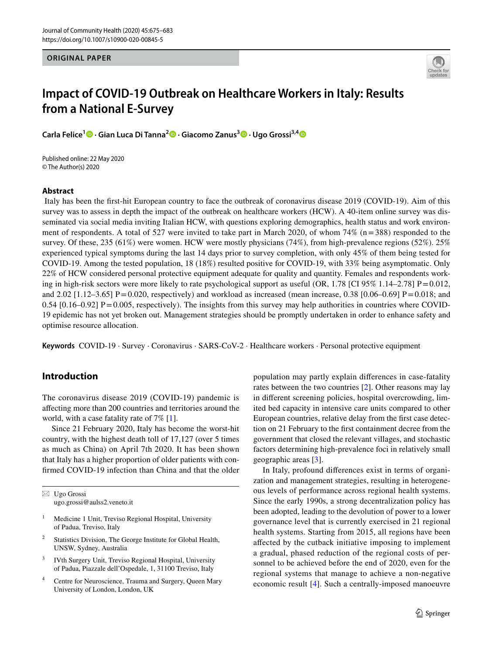#### **ORIGINAL PAPER**



# **Impact of COVID-19 Outbreak on Healthcare Workers in Italy: Results from a National E-Survey**

**Carla Felice<sup>1</sup> · Gian Luca Di Tanna2  [·](http://orcid.org/0000-0002-5470-3567) Giacomo Zanus3  [·](http://orcid.org/0000-0001-5489-3009) Ugo Grossi3,[4](http://orcid.org/0000-0001-5372-2873)**

Published online: 22 May 2020 © The Author(s) 2020

### **Abstract**

 Italy has been the frst-hit European country to face the outbreak of coronavirus disease 2019 (COVID-19). Aim of this survey was to assess in depth the impact of the outbreak on healthcare workers (HCW). A 40-item online survey was disseminated via social media inviting Italian HCW, with questions exploring demographics, health status and work environment of respondents. A total of 527 were invited to take part in March 2020, of whom  $74\%$  ( $n=388$ ) responded to the survey. Of these, 235 (61%) were women. HCW were mostly physicians (74%), from high-prevalence regions (52%). 25% experienced typical symptoms during the last 14 days prior to survey completion, with only 45% of them being tested for COVID-19. Among the tested population, 18 (18%) resulted positive for COVID-19, with 33% being asymptomatic. Only 22% of HCW considered personal protective equipment adequate for quality and quantity. Females and respondents working in high-risk sectors were more likely to rate psychological support as useful (OR, 1.78 [CI 95% 1.14–2.78]  $P = 0.012$ , and 2.02 [1.12–3.65] P = 0.020, respectively) and workload as increased (mean increase, 0.38 [0.06–0.69] P = 0.018; and  $0.54$  [0.16–0.92] P = 0.005, respectively). The insights from this survey may help authorities in countries where COVID-19 epidemic has not yet broken out. Management strategies should be promptly undertaken in order to enhance safety and optimise resource allocation.

**Keywords** COVID-19 · Survey · Coronavirus · SARS-CoV-2 · Healthcare workers · Personal protective equipment

# **Introduction**

The coronavirus disease 2019 (COVID-19) pandemic is afecting more than 200 countries and territories around the world, with a case fatality rate of 7% [\[1](#page-8-0)].

Since 21 February 2020, Italy has become the worst-hit country, with the highest death toll of 17,127 (over 5 times as much as China) on April 7th 2020. It has been shown that Italy has a higher proportion of older patients with confrmed COVID-19 infection than China and that the older

 $\boxtimes$  Ugo Grossi ugo.grossi@aulss2.veneto.it

- <sup>1</sup> Medicine 1 Unit, Treviso Regional Hospital, University of Padua, Treviso, Italy
- <sup>2</sup> Statistics Division, The George Institute for Global Health, UNSW, Sydney, Australia
- <sup>3</sup> IVth Surgery Unit, Treviso Regional Hospital, University of Padua, Piazzale dell'Ospedale, 1, 31100 Treviso, Italy
- <sup>4</sup> Centre for Neuroscience, Trauma and Surgery, Queen Mary University of London, London, UK

population may partly explain diferences in case-fatality rates between the two countries [[2](#page-8-1)]. Other reasons may lay in diferent screening policies, hospital overcrowding, limited bed capacity in intensive care units compared to other European countries, relative delay from the frst case detection on 21 February to the frst containment decree from the government that closed the relevant villages, and stochastic factors determining high-prevalence foci in relatively small geographic areas [[3](#page-8-2)].

In Italy, profound diferences exist in terms of organization and management strategies, resulting in heterogeneous levels of performance across regional health systems. Since the early 1990s, a strong decentralization policy has been adopted, leading to the devolution of power to a lower governance level that is currently exercised in 21 regional health systems. Starting from 2015, all regions have been afected by the cutback initiative imposing to implement a gradual, phased reduction of the regional costs of personnel to be achieved before the end of 2020, even for the regional systems that manage to achieve a non-negative economic result [[4](#page-8-3)]. Such a centrally-imposed manoeuvre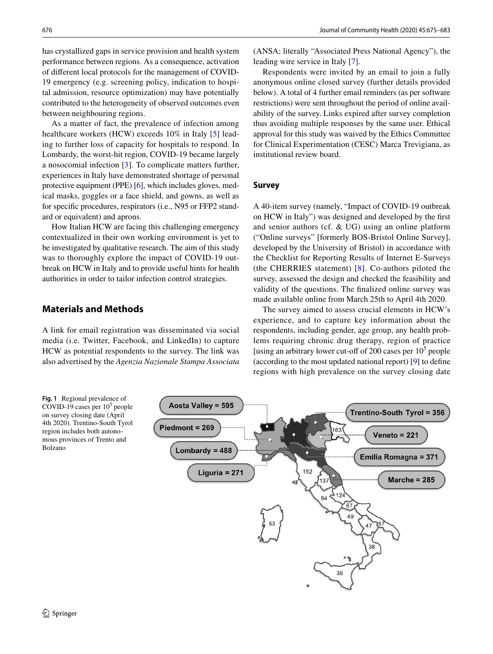has crystallized gaps in service provision and health system performance between regions. As a consequence, activation of diferent local protocols for the management of COVID-19 emergency (e.g. screening policy, indication to hospital admission, resource optimization) may have potentially contributed to the heterogeneity of observed outcomes even between neighbouring regions.

As a matter of fact, the prevalence of infection among healthcare workers (HCW) exceeds 10% in Italy [\[5](#page-8-4)] leading to further loss of capacity for hospitals to respond. In Lombardy, the worst-hit region, COVID-19 became largely a nosocomial infection [[3\]](#page-8-2). To complicate matters further, experiences in Italy have demonstrated shortage of personal protective equipment (PPE) [\[6\]](#page-8-5), which includes gloves, medical masks, goggles or a face shield, and gowns, as well as for specifc procedures, respirators (i.e., N95 or FFP2 standard or equivalent) and aprons.

How Italian HCW are facing this challenging emergency contextualized in their own working environment is yet to be investigated by qualitative research. The aim of this study was to thoroughly explore the impact of COVID-19 outbreak on HCW in Italy and to provide useful hints for health authorities in order to tailor infection control strategies.

## **Materials and Methods**

A link for email registration was disseminated via social media (i.e. Twitter, Facebook, and LinkedIn) to capture HCW as potential respondents to the survey. The link was also advertised by the *Agenzia Nazionale Stampa Associata*

(ANSA; literally "Associated Press National Agency"), the leading wire service in Italy [[7\]](#page-8-6).

Respondents were invited by an email to join a fully anonymous online closed survey (further details provided below). A total of 4 further email reminders (as per software restrictions) were sent throughout the period of online availability of the survey. Links expired after survey completion thus avoiding multiple responses by the same user. Ethical approval for this study was waived by the Ethics Committee for Clinical Experimentation (CESC) Marca Trevigiana, as institutional review board.

## **Survey**

A 40-item survey (namely, "Impact of COVID-19 outbreak on HCW in Italy") was designed and developed by the frst and senior authors (cf. & UG) using an online platform ("Online surveys" [formerly BOS-Bristol Online Survey], developed by the University of Bristol) in accordance with the Checklist for Reporting Results of Internet E-Surveys (the CHERRIES statement) [[8](#page-8-7)]. Co-authors piloted the survey, assessed the design and checked the feasibility and validity of the questions. The fnalized online survey was made available online from March 25th to April 4th 2020.

The survey aimed to assess crucial elements in HCW's experience, and to capture key information about the respondents, including gender, age group, any health problems requiring chronic drug therapy, region of practice [using an arbitrary lower cut-off of 200 cases per  $10<sup>5</sup>$  people (according to the most updated national report) [\[9](#page-8-8)] to defne regions with high prevalence on the survey closing date

<span id="page-1-0"></span>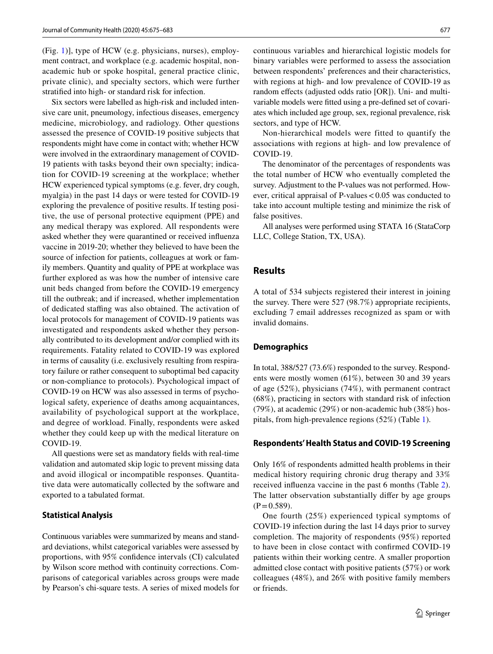(Fig. [1\)](#page-1-0)], type of HCW (e.g. physicians, nurses), employment contract, and workplace (e.g. academic hospital, nonacademic hub or spoke hospital, general practice clinic, private clinic), and specialty sectors, which were further stratifed into high- or standard risk for infection.

Six sectors were labelled as high-risk and included intensive care unit, pneumology, infectious diseases, emergency medicine, microbiology, and radiology. Other questions assessed the presence of COVID-19 positive subjects that respondents might have come in contact with; whether HCW were involved in the extraordinary management of COVID-19 patients with tasks beyond their own specialty; indication for COVID-19 screening at the workplace; whether HCW experienced typical symptoms (e.g. fever, dry cough, myalgia) in the past 14 days or were tested for COVID-19 exploring the prevalence of positive results. If testing positive, the use of personal protective equipment (PPE) and any medical therapy was explored. All respondents were asked whether they were quarantined or received infuenza vaccine in 2019-20; whether they believed to have been the source of infection for patients, colleagues at work or family members. Quantity and quality of PPE at workplace was further explored as was how the number of intensive care unit beds changed from before the COVID-19 emergency till the outbreak; and if increased, whether implementation of dedicated stafng was also obtained. The activation of local protocols for management of COVID-19 patients was investigated and respondents asked whether they personally contributed to its development and/or complied with its requirements. Fatality related to COVID-19 was explored in terms of causality (i.e. exclusively resulting from respiratory failure or rather consequent to suboptimal bed capacity or non-compliance to protocols). Psychological impact of COVID-19 on HCW was also assessed in terms of psychological safety, experience of deaths among acquaintances, availability of psychological support at the workplace, and degree of workload. Finally, respondents were asked whether they could keep up with the medical literature on COVID-19.

All questions were set as mandatory felds with real-time validation and automated skip logic to prevent missing data and avoid illogical or incompatible responses. Quantitative data were automatically collected by the software and exported to a tabulated format.

#### **Statistical Analysis**

Continuous variables were summarized by means and standard deviations, whilst categorical variables were assessed by proportions, with 95% confdence intervals (CI) calculated by Wilson score method with continuity corrections. Comparisons of categorical variables across groups were made by Pearson's chi-square tests. A series of mixed models for continuous variables and hierarchical logistic models for binary variables were performed to assess the association between respondents' preferences and their characteristics, with regions at high- and low prevalence of COVID-19 as random efects (adjusted odds ratio [OR]). Uni- and multivariable models were ftted using a pre-defned set of covariates which included age group, sex, regional prevalence, risk sectors, and type of HCW.

Non-hierarchical models were fitted to quantify the associations with regions at high- and low prevalence of COVID-19.

The denominator of the percentages of respondents was the total number of HCW who eventually completed the survey. Adjustment to the P-values was not performed. However, critical appraisal of P-values  $< 0.05$  was conducted to take into account multiple testing and minimize the risk of false positives.

All analyses were performed using STATA 16 (StataCorp LLC, College Station, TX, USA).

## **Results**

A total of 534 subjects registered their interest in joining the survey. There were 527 (98.7%) appropriate recipients, excluding 7 email addresses recognized as spam or with invalid domains.

## **Demographics**

In total, 388/527 (73.6%) responded to the survey. Respondents were mostly women (61%), between 30 and 39 years of age (52%), physicians (74%), with permanent contract (68%), practicing in sectors with standard risk of infection (79%), at academic (29%) or non-academic hub (38%) hospitals, from high-prevalence regions (52%) (Table [1\)](#page-3-0).

#### **Respondents' Health Status and COVID‑19 Screening**

Only 16% of respondents admitted health problems in their medical history requiring chronic drug therapy and 33% received infuenza vaccine in the past 6 months (Table [2](#page-4-0)). The latter observation substantially differ by age groups  $(P=0.589)$ .

One fourth (25%) experienced typical symptoms of COVID-19 infection during the last 14 days prior to survey completion. The majority of respondents (95%) reported to have been in close contact with confrmed COVID-19 patients within their working centre. A smaller proportion admitted close contact with positive patients (57%) or work colleagues (48%), and 26% with positive family members or friends.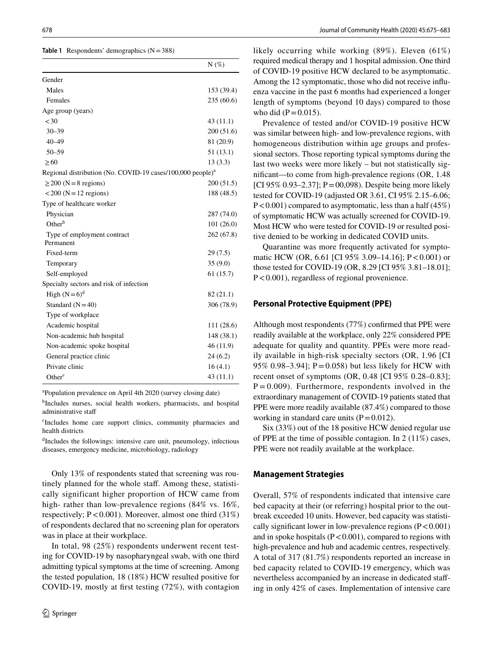<span id="page-3-0"></span>**Table 1** Respondents' demographics (N=388)

|                                                                        | $N(\%)$    |
|------------------------------------------------------------------------|------------|
| Gender                                                                 |            |
| Males                                                                  | 153 (39.4) |
| Females                                                                | 235(60.6)  |
| Age group (years)                                                      |            |
| < 30                                                                   | 43(11.1)   |
| $30 - 39$                                                              | 200 (51.6) |
| $40 - 49$                                                              | 81 (20.9)  |
| $50 - 59$                                                              | 51(13.1)   |
| $\geq 60$                                                              | 13(3.3)    |
| Regional distribution (No. COVID-19 cases/100,000 people) <sup>a</sup> |            |
| $\geq$ 200 (N = 8 regions)                                             | 200(51.5)  |
| $<$ 200 (N = 12 regions)                                               | 188 (48.5) |
| Type of healthcare worker                                              |            |
| Physician                                                              | 287 (74.0) |
| $Other^b$                                                              | 101(26.0)  |
| Type of employment contract                                            | 262 (67.8) |
| Permanent                                                              |            |
| Fixed-term                                                             | 29(7.5)    |
| Temporary                                                              | 35(9.0)    |
| Self-employed                                                          | 61 (15.7)  |
| Specialty sectors and risk of infection                                |            |
| High $(N=6)^d$                                                         | 82(21.1)   |
| Standard $(N=40)$                                                      | 306 (78.9) |
| Type of workplace                                                      |            |
| Academic hospital                                                      | 111 (28.6) |
| Non-academic hub hospital                                              | 148 (38.1) |
| Non-academic spoke hospital                                            | 46 (11.9)  |
| General practice clinic                                                | 24(6.2)    |
| Private clinic                                                         | 16(4.1)    |
| Other <sup>c</sup>                                                     | 43(11.1)   |

<sup>a</sup>Population prevalence on April 4th 2020 (survey closing date)

b Includes nurses, social health workers, pharmacists, and hospital administrative staf

c Includes home care support clinics, community pharmacies and health districts

d Includes the followings: intensive care unit, pneumology, infectious diseases, emergency medicine, microbiology, radiology

Only 13% of respondents stated that screening was routinely planned for the whole staff. Among these, statistically significant higher proportion of HCW came from high- rather than low-prevalence regions (84% vs. 16%, respectively;  $P < 0.001$ ). Moreover, almost one third (31%) of respondents declared that no screening plan for operators was in place at their workplace.

In total, 98 (25%) respondents underwent recent testing for COVID-19 by nasopharyngeal swab, with one third admitting typical symptoms at the time of screening. Among the tested population, 18 (18%) HCW resulted positive for COVID-19, mostly at frst testing (72%), with contagion likely occurring while working (89%). Eleven (61%) required medical therapy and 1 hospital admission. One third of COVID-19 positive HCW declared to be asymptomatic. Among the 12 symptomatic, those who did not receive infuenza vaccine in the past 6 months had experienced a longer length of symptoms (beyond 10 days) compared to those who did  $(P = 0.015)$ .

Prevalence of tested and/or COVID-19 positive HCW was similar between high- and low-prevalence regions, with homogeneous distribution within age groups and professional sectors. Those reporting typical symptoms during the last two weeks were more likely – but not statistically signifcant—to come from high-prevalence regions (OR, 1.48 [CI 95% 0.93–2.37]; P = 00,098). Despite being more likely tested for COVID-19 (adjusted OR 3.61, CI 95% 2.15–6.06;  $P < 0.001$ ) compared to asymptomatic, less than a half (45%) of symptomatic HCW was actually screened for COVID-19. Most HCW who were tested for COVID-19 or resulted positive denied to be working in dedicated COVID units.

Quarantine was more frequently activated for symptomatic HCW (OR, 6.61 [CI 95% 3.09–14.16]; P<0.001) or those tested for COVID-19 (OR, 8.29 [CI 95% 3.81–18.01]; P<0.001), regardless of regional provenience.

#### **Personal Protective Equipment (PPE)**

Although most respondents (77%) confrmed that PPE were readily available at the workplace, only 22% considered PPE adequate for quality and quantity. PPEs were more readily available in high-risk specialty sectors (OR, 1.96 [CI 95% 0.98–3.94];  $P = 0.058$  but less likely for HCW with recent onset of symptoms (OR, 0.48 [CI 95% 0.28–0.83];  $P = 0.009$ ). Furthermore, respondents involved in the extraordinary management of COVID-19 patients stated that PPE were more readily available (87.4%) compared to those working in standard care units  $(P=0.012)$ .

Six (33%) out of the 18 positive HCW denied regular use of PPE at the time of possible contagion. In 2 (11%) cases, PPE were not readily available at the workplace.

#### **Management Strategies**

Overall, 57% of respondents indicated that intensive care bed capacity at their (or referring) hospital prior to the outbreak exceeded 10 units. However, bed capacity was statistically significant lower in low-prevalence regions  $(P<0.001)$ and in spoke hospitals ( $P < 0.001$ ), compared to regions with high-prevalence and hub and academic centres, respectively. A total of 317 (81.7%) respondents reported an increase in bed capacity related to COVID-19 emergency, which was nevertheless accompanied by an increase in dedicated stafing in only 42% of cases. Implementation of intensive care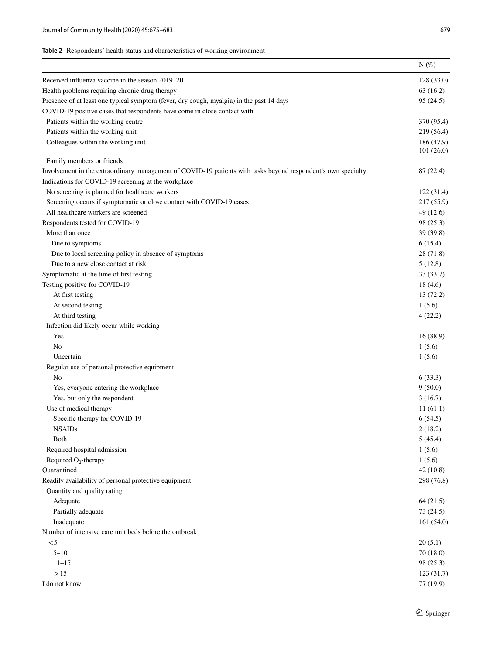<span id="page-4-0"></span>

|                                                                                                               | $N(\%)$    |
|---------------------------------------------------------------------------------------------------------------|------------|
| Received influenza vaccine in the season 2019–20                                                              | 128(33.0)  |
| Health problems requiring chronic drug therapy                                                                | 63(16.2)   |
| Presence of at least one typical symptom (fever, dry cough, myalgia) in the past 14 days                      | 95 (24.5)  |
| COVID-19 positive cases that respondents have come in close contact with                                      |            |
| Patients within the working centre                                                                            | 370 (95.4) |
| Patients within the working unit                                                                              | 219 (56.4) |
| Colleagues within the working unit                                                                            | 186 (47.9) |
|                                                                                                               | 101(26.0)  |
| Family members or friends                                                                                     |            |
| Involvement in the extraordinary management of COVID-19 patients with tasks beyond respondent's own specialty | 87 (22.4)  |
| Indications for COVID-19 screening at the workplace                                                           |            |
| No screening is planned for healthcare workers                                                                | 122(31.4)  |
| Screening occurs if symptomatic or close contact with COVID-19 cases                                          | 217 (55.9) |
| All healthcare workers are screened                                                                           | 49 (12.6)  |
| Respondents tested for COVID-19                                                                               | 98 (25.3)  |
| More than once                                                                                                | 39 (39.8)  |
| Due to symptoms                                                                                               | 6(15.4)    |
| Due to local screening policy in absence of symptoms                                                          | 28 (71.8)  |
| Due to a new close contact at risk                                                                            | 5(12.8)    |
| Symptomatic at the time of first testing                                                                      | 33 (33.7)  |
| Testing positive for COVID-19                                                                                 | 18(4.6)    |
| At first testing                                                                                              | 13 (72.2)  |
| At second testing                                                                                             | 1(5.6)     |
| At third testing                                                                                              | 4(22.2)    |
| Infection did likely occur while working                                                                      |            |
| Yes                                                                                                           | 16(88.9)   |
| No                                                                                                            | 1(5.6)     |
| Uncertain                                                                                                     | 1(5.6)     |
| Regular use of personal protective equipment                                                                  |            |
| No                                                                                                            | 6(33.3)    |
| Yes, everyone entering the workplace                                                                          | 9(50.0)    |
| Yes, but only the respondent                                                                                  | 3(16.7)    |
| Use of medical therapy                                                                                        | 11(61.1)   |
| Specific therapy for COVID-19                                                                                 | 6(54.5)    |
| <b>NSAIDs</b>                                                                                                 | 2(18.2)    |
| Both                                                                                                          | 5(45.4)    |
| Required hospital admission                                                                                   | 1(5.6)     |
| Required $O_2$ -therapy                                                                                       | 1(5.6)     |
| Quarantined                                                                                                   | 42(10.8)   |
| Readily availability of personal protective equipment                                                         | 298 (76.8) |
| Quantity and quality rating                                                                                   |            |
| Adequate                                                                                                      | 64(21.5)   |
| Partially adequate                                                                                            | 73(24.5)   |
|                                                                                                               |            |
| Inadequate                                                                                                    | 161(54.0)  |
| Number of intensive care unit beds before the outbreak                                                        |            |
| < 5                                                                                                           | 20(5.1)    |
| $5 - 10$                                                                                                      | 70(18.0)   |
| $11 - 15$                                                                                                     | 98 (25.3)  |
| >15                                                                                                           | 123 (31.7) |
| I do not know                                                                                                 | 77 (19.9)  |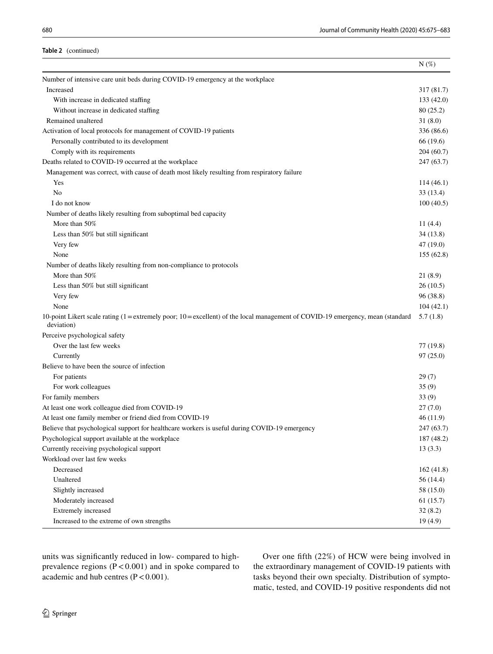### **Table 2** (continued)

|                                                                                                                                               | $N(\%)$    |
|-----------------------------------------------------------------------------------------------------------------------------------------------|------------|
| Number of intensive care unit beds during COVID-19 emergency at the workplace                                                                 |            |
| Increased                                                                                                                                     | 317 (81.7) |
| With increase in dedicated staffing                                                                                                           | 133(42.0)  |
| Without increase in dedicated staffing                                                                                                        | 80(25.2)   |
| Remained unaltered                                                                                                                            | 31(8.0)    |
| Activation of local protocols for management of COVID-19 patients                                                                             | 336 (86.6) |
| Personally contributed to its development                                                                                                     | 66 (19.6)  |
| Comply with its requirements                                                                                                                  | 204(60.7)  |
| Deaths related to COVID-19 occurred at the workplace                                                                                          | 247(63.7)  |
| Management was correct, with cause of death most likely resulting from respiratory failure                                                    |            |
| Yes                                                                                                                                           | 114(46.1)  |
| No                                                                                                                                            | 33(13.4)   |
| I do not know                                                                                                                                 | 100(40.5)  |
| Number of deaths likely resulting from suboptimal bed capacity                                                                                |            |
| More than 50%                                                                                                                                 | 11(4.4)    |
| Less than 50% but still significant                                                                                                           | 34(13.8)   |
| Very few                                                                                                                                      | 47(19.0)   |
| None                                                                                                                                          | 155(62.8)  |
| Number of deaths likely resulting from non-compliance to protocols                                                                            |            |
| More than 50%                                                                                                                                 | 21(8.9)    |
| Less than 50% but still significant                                                                                                           | 26(10.5)   |
| Very few                                                                                                                                      | 96(38.8)   |
| None                                                                                                                                          | 104(42.1)  |
| 10-point Likert scale rating (1 = extremely poor; 10 = excellent) of the local management of COVID-19 emergency, mean (standard<br>deviation) | 5.7(1.8)   |
| Perceive psychological safety                                                                                                                 |            |
| Over the last few weeks                                                                                                                       | 77 (19.8)  |
| Currently                                                                                                                                     | 97(25.0)   |
| Believe to have been the source of infection                                                                                                  |            |
| For patients                                                                                                                                  | 29(7)      |
| For work colleagues                                                                                                                           | 35(9)      |
| For family members                                                                                                                            | 33(9)      |
| At least one work colleague died from COVID-19                                                                                                | 27(7.0)    |
| At least one family member or friend died from COVID-19                                                                                       | 46(11.9)   |
| Believe that psychological support for healthcare workers is useful during COVID-19 emergency                                                 | 247 (63.7) |
| Psychological support available at the workplace                                                                                              | 187 (48.2) |
| Currently receiving psychological support                                                                                                     | 13(3.3)    |
| Workload over last few weeks                                                                                                                  |            |
| Decreased                                                                                                                                     | 162(41.8)  |
| Unaltered                                                                                                                                     | 56 (14.4)  |
| Slightly increased                                                                                                                            | 58 (15.0)  |
| Moderately increased                                                                                                                          | 61(15.7)   |
| Extremely increased                                                                                                                           | 32(8.2)    |
| Increased to the extreme of own strengths                                                                                                     | 19(4.9)    |

units was signifcantly reduced in low- compared to highprevalence regions  $(P < 0.001)$  and in spoke compared to academic and hub centres  $(P < 0.001)$ .

Over one ffth (22%) of HCW were being involved in the extraordinary management of COVID-19 patients with tasks beyond their own specialty. Distribution of symptomatic, tested, and COVID-19 positive respondents did not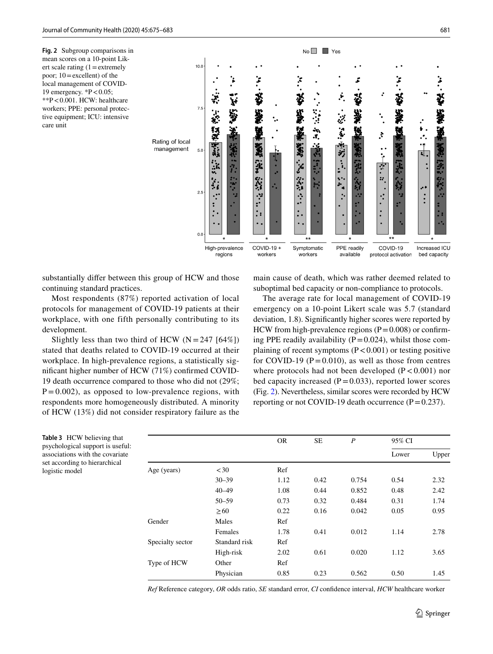<span id="page-6-0"></span>**Fig. 2** Subgroup comparisons in mean scores on a 10-point Likert scale rating  $(1=$  extremely poor; 10=excellent) of the local management of COVID-19 emergency.  ${}^*P < 0.05$ ; \*\*P<0.001. HCW: healthcare workers; PPE: personal protective equipment; ICU: intensive care unit



substantially difer between this group of HCW and those continuing standard practices.

Most respondents (87%) reported activation of local protocols for management of COVID-19 patients at their workplace, with one fifth personally contributing to its development.

Slightly less than two third of HCW  $(N = 247 [64\%])$ stated that deaths related to COVID-19 occurred at their workplace. In high-prevalence regions, a statistically signifcant higher number of HCW (71%) confrmed COVID-19 death occurrence compared to those who did not (29%;  $P = 0.002$ ), as opposed to low-prevalence regions, with respondents more homogeneously distributed. A minority of HCW (13%) did not consider respiratory failure as the main cause of death, which was rather deemed related to suboptimal bed capacity or non-compliance to protocols.

The average rate for local management of COVID-19 emergency on a 10-point Likert scale was 5.7 (standard deviation, 1.8). Signifcantly higher scores were reported by HCW from high-prevalence regions  $(P=0.008)$  or confirming PPE readily availability  $(P=0.024)$ , whilst those complaining of recent symptoms  $(P < 0.001)$  or testing positive for COVID-19 ( $P = 0.010$ ), as well as those from centres where protocols had not been developed  $(P < 0.001)$  nor bed capacity increased  $(P=0.033)$ , reported lower scores (Fig. [2](#page-6-0)). Nevertheless, similar scores were recorded by HCW reporting or not COVID-19 death occurrence  $(P=0.237)$ .

<span id="page-6-1"></span>

|                | Table 3 HCW believing that       |
|----------------|----------------------------------|
|                | psychological support is useful: |
|                | associations with the covariate  |
|                | set according to hierarchical    |
| logistic model |                                  |

|                  |               | <b>OR</b> | SE   | $\boldsymbol{P}$ | 95% CI |       |
|------------------|---------------|-----------|------|------------------|--------|-------|
|                  |               |           |      |                  | Lower  | Upper |
| Age (years)      | <30           | Ref       |      |                  |        |       |
|                  | $30 - 39$     | 1.12      | 0.42 | 0.754            | 0.54   | 2.32  |
|                  | $40 - 49$     | 1.08      | 0.44 | 0.852            | 0.48   | 2.42  |
|                  | $50 - 59$     | 0.73      | 0.32 | 0.484            | 0.31   | 1.74  |
|                  | $\geq 60$     | 0.22      | 0.16 | 0.042            | 0.05   | 0.95  |
| Gender           | Males         | Ref       |      |                  |        |       |
|                  | Females       | 1.78      | 0.41 | 0.012            | 1.14   | 2.78  |
| Specialty sector | Standard risk | Ref       |      |                  |        |       |
|                  | High-risk     | 2.02      | 0.61 | 0.020            | 1.12   | 3.65  |
| Type of HCW      | Other         | Ref       |      |                  |        |       |
|                  | Physician     | 0.85      | 0.23 | 0.562            | 0.50   | 1.45  |

*Ref* Reference category, *OR* odds ratio, *SE* standard error, *CI* confdence interval, *HCW* healthcare worker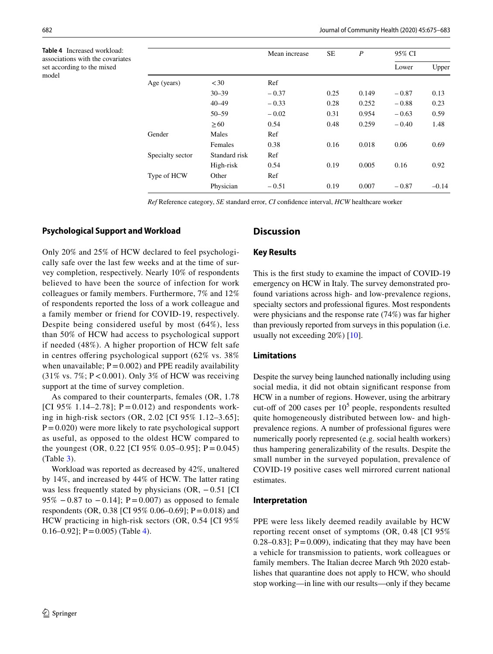<span id="page-7-0"></span>**Table 4** Increased workload: associations with the covariates set according to the mixed model

|                  |               | Mean increase |      |       | $\boldsymbol{P}$ | 95% CI  |  |
|------------------|---------------|---------------|------|-------|------------------|---------|--|
|                  |               |               |      |       | Lower            | Upper   |  |
| Age (years)      | <30           | Ref           |      |       |                  |         |  |
|                  | $30 - 39$     | $-0.37$       | 0.25 | 0.149 | $-0.87$          | 0.13    |  |
|                  | $40 - 49$     | $-0.33$       | 0.28 | 0.252 | $-0.88$          | 0.23    |  |
|                  | $50 - 59$     | $-0.02$       | 0.31 | 0.954 | $-0.63$          | 0.59    |  |
|                  | $\geq 60$     | 0.54          | 0.48 | 0.259 | $-0.40$          | 1.48    |  |
| Gender           | Males         | Ref           |      |       |                  |         |  |
|                  | Females       | 0.38          | 0.16 | 0.018 | 0.06             | 0.69    |  |
| Specialty sector | Standard risk | Ref           |      |       |                  |         |  |
|                  | High-risk     | 0.54          | 0.19 | 0.005 | 0.16             | 0.92    |  |
| Type of HCW      | Other         | Ref           |      |       |                  |         |  |
|                  | Physician     | $-0.51$       | 0.19 | 0.007 | $-0.87$          | $-0.14$ |  |

*Ref* Reference category, *SE* standard error, *CI* confdence interval, *HCW* healthcare worker

## **Psychological Support and Workload**

Only 20% and 25% of HCW declared to feel psychologically safe over the last few weeks and at the time of survey completion, respectively. Nearly 10% of respondents believed to have been the source of infection for work colleagues or family members. Furthermore, 7% and 12% of respondents reported the loss of a work colleague and a family member or friend for COVID-19, respectively. Despite being considered useful by most (64%), less than 50% of HCW had access to psychological support if needed (48%). A higher proportion of HCW felt safe in centres offering psychological support (62% vs. 38%) when unavailable;  $P = 0.002$ ) and PPE readily availability  $(31\% \text{ vs. } 7\%; P < 0.001)$ . Only 3% of HCW was receiving support at the time of survey completion.

As compared to their counterparts, females (OR, 1.78 [CI 95% 1.14–2.78];  $P = 0.012$ ) and respondents working in high-risk sectors (OR, 2.02 [CI 95% 1.12–3.65];  $P=0.020$ ) were more likely to rate psychological support as useful, as opposed to the oldest HCW compared to the youngest (OR, 0.22 [CI 95% 0.05–0.95];  $P = 0.045$ ) (Table [3\)](#page-6-1).

Workload was reported as decreased by 42%, unaltered by 14%, and increased by 44% of HCW. The latter rating was less frequently stated by physicians  $(OR, -0.51$  [CI] 95%  $-0.87$  to  $-0.14$ ]; P=0.007) as opposed to female respondents (OR, 0.38 [CI 95% 0.06–0.69]; P=0.018) and HCW practicing in high-risk sectors (OR, 0.54 [CI 95% 0.16–0.92];  $P = 0.005$  (Table [4](#page-7-0)).

## **Discussion**

### **Key Results**

This is the frst study to examine the impact of COVID-19 emergency on HCW in Italy. The survey demonstrated profound variations across high- and low-prevalence regions, specialty sectors and professional fgures. Most respondents were physicians and the response rate (74%) was far higher than previously reported from surveys in this population (i.e. usually not exceeding 20%) [[10\]](#page-8-9).

## **Limitations**

Despite the survey being launched nationally including using social media, it did not obtain signifcant response from HCW in a number of regions. However, using the arbitrary cut-off of 200 cases per  $10<sup>5</sup>$  people, respondents resulted quite homogeneously distributed between low- and highprevalence regions. A number of professional fgures were numerically poorly represented (e.g. social health workers) thus hampering generalizability of the results. Despite the small number in the surveyed population, prevalence of COVID-19 positive cases well mirrored current national estimates.

### **Interpretation**

PPE were less likely deemed readily available by HCW reporting recent onset of symptoms (OR, 0.48 [CI 95% 0.28–0.83];  $P = 0.009$ , indicating that they may have been a vehicle for transmission to patients, work colleagues or family members. The Italian decree March 9th 2020 establishes that quarantine does not apply to HCW, who should stop working—in line with our results—only if they became